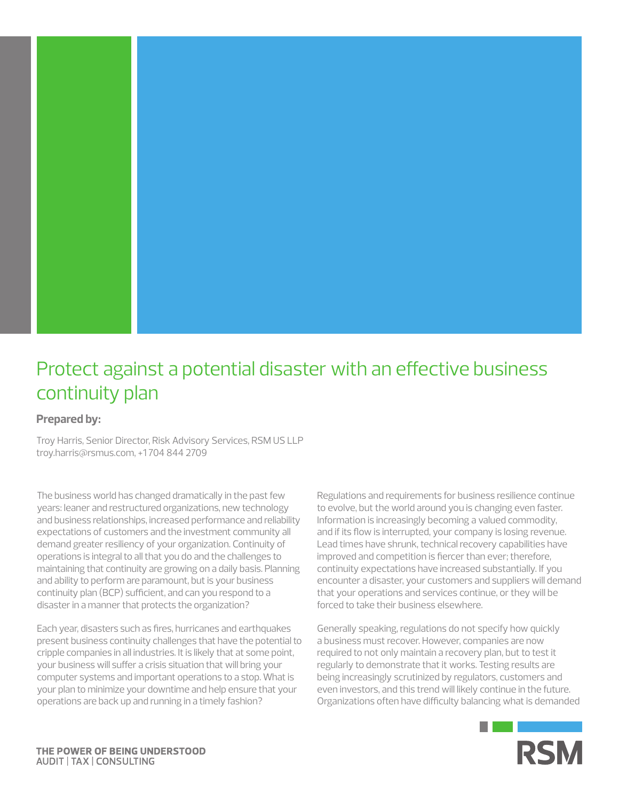

# Protect against a potential disaster with an effective business continuity plan

# **Prepared by:**

Troy Harris, Senior Director, Risk Advisory Services, RSM US LLP troy.harris@rsmus.com, +1 704 844 2709

The business world has changed dramatically in the past few years: leaner and restructured organizations, new technology and business relationships, increased performance and reliability expectations of customers and the investment community all demand greater resiliency of your organization. Continuity of operations is integral to all that you do and the challenges to maintaining that continuity are growing on a daily basis. Planning and ability to perform are paramount, but is your business continuity plan (BCP) sufficient, and can you respond to a disaster in a manner that protects the organization?

Each year, disasters such as fires, hurricanes and earthquakes present business continuity challenges that have the potential to cripple companies in all industries. It is likely that at some point, your business will suffer a crisis situation that will bring your computer systems and important operations to a stop. What is your plan to minimize your downtime and help ensure that your operations are back up and running in a timely fashion?

Regulations and requirements for business resilience continue to evolve, but the world around you is changing even faster. Information is increasingly becoming a valued commodity, and if its flow is interrupted, your company is losing revenue. Lead times have shrunk, technical recovery capabilities have improved and competition is fiercer than ever; therefore, continuity expectations have increased substantially. If you encounter a disaster, your customers and suppliers will demand that your operations and services continue, or they will be forced to take their business elsewhere.

Generally speaking, regulations do not specify how quickly a business must recover. However, companies are now required to not only maintain a recovery plan, but to test it regularly to demonstrate that it works. Testing results are being increasingly scrutinized by regulators, customers and even investors, and this trend will likely continue in the future. Organizations often have difficulty balancing what is demanded

m.

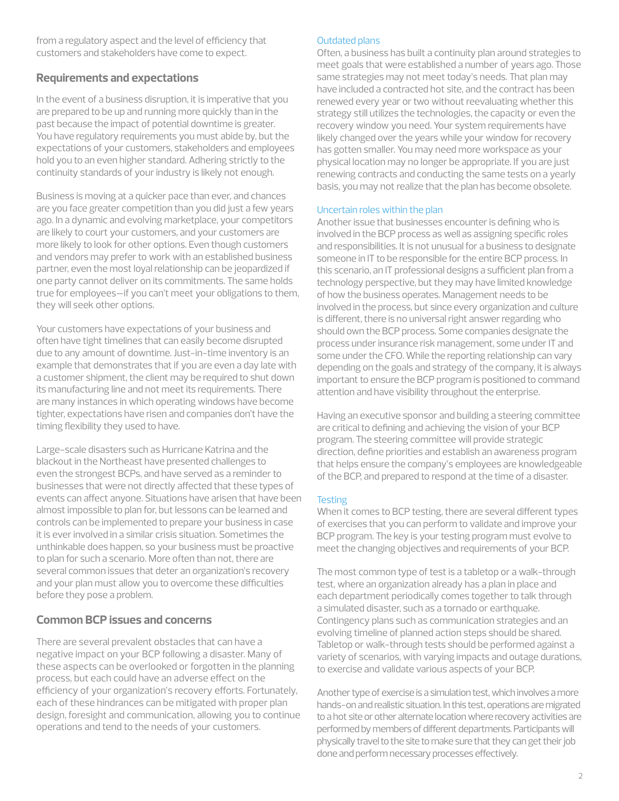from a regulatory aspect and the level of efficiency that customers and stakeholders have come to expect.

## **Requirements and expectations**

In the event of a business disruption, it is imperative that you are prepared to be up and running more quickly than in the past because the impact of potential downtime is greater. You have regulatory requirements you must abide by, but the expectations of your customers, stakeholders and employees hold you to an even higher standard. Adhering strictly to the continuity standards of your industry is likely not enough.

Business is moving at a quicker pace than ever, and chances are you face greater competition than you did just a few years ago. In a dynamic and evolving marketplace, your competitors are likely to court your customers, and your customers are more likely to look for other options. Even though customers and vendors may prefer to work with an established business partner, even the most loyal relationship can be jeopardized if one party cannot deliver on its commitments. The same holds true for employees—if you can't meet your obligations to them, they will seek other options.

Your customers have expectations of your business and often have tight timelines that can easily become disrupted due to any amount of downtime. Just-in-time inventory is an example that demonstrates that if you are even a day late with a customer shipment, the client may be required to shut down its manufacturing line and not meet its requirements. There are many instances in which operating windows have become tighter, expectations have risen and companies don't have the timing flexibility they used to have.

Large-scale disasters such as Hurricane Katrina and the blackout in the Northeast have presented challenges to even the strongest BCPs, and have served as a reminder to businesses that were not directly affected that these types of events can affect anyone. Situations have arisen that have been almost impossible to plan for, but lessons can be learned and controls can be implemented to prepare your business in case it is ever involved in a similar crisis situation. Sometimes the unthinkable does happen, so your business must be proactive to plan for such a scenario. More often than not, there are several common issues that deter an organization's recovery and your plan must allow you to overcome these difficulties before they pose a problem.

# **Common BCP issues and concerns**

There are several prevalent obstacles that can have a negative impact on your BCP following a disaster. Many of these aspects can be overlooked or forgotten in the planning process, but each could have an adverse effect on the efficiency of your organization's recovery efforts. Fortunately, each of these hindrances can be mitigated with proper plan design, foresight and communication, allowing you to continue operations and tend to the needs of your customers.

#### Outdated plans

Often, a business has built a continuity plan around strategies to meet goals that were established a number of years ago. Those same strategies may not meet today's needs. That plan may have included a contracted hot site, and the contract has been renewed every year or two without reevaluating whether this strategy still utilizes the technologies, the capacity or even the recovery window you need. Your system requirements have likely changed over the years while your window for recovery has gotten smaller. You may need more workspace as your physical location may no longer be appropriate. If you are just renewing contracts and conducting the same tests on a yearly basis, you may not realize that the plan has become obsolete.

#### Uncertain roles within the plan

Another issue that businesses encounter is defining who is involved in the BCP process as well as assigning specific roles and responsibilities. It is not unusual for a business to designate someone in IT to be responsible for the entire BCP process. In this scenario, an IT professional designs a sufficient plan from a technology perspective, but they may have limited knowledge of how the business operates. Management needs to be involved in the process, but since every organization and culture is different, there is no universal right answer regarding who should own the BCP process. Some companies designate the process under insurance risk management, some under IT and some under the CFO. While the reporting relationship can vary depending on the goals and strategy of the company, it is always important to ensure the BCP program is positioned to command attention and have visibility throughout the enterprise.

Having an executive sponsor and building a steering committee are critical to defining and achieving the vision of your BCP program. The steering committee will provide strategic direction, define priorities and establish an awareness program that helps ensure the company's employees are knowledgeable of the BCP, and prepared to respond at the time of a disaster.

## **Testing**

When it comes to BCP testing, there are several different types of exercises that you can perform to validate and improve your BCP program. The key is your testing program must evolve to meet the changing objectives and requirements of your BCP.

The most common type of test is a tabletop or a walk-through test, where an organization already has a plan in place and each department periodically comes together to talk through a simulated disaster, such as a tornado or earthquake. Contingency plans such as communication strategies and an evolving timeline of planned action steps should be shared. Tabletop or walk-through tests should be performed against a variety of scenarios, with varying impacts and outage durations, to exercise and validate various aspects of your BCP.

Another type of exercise is a simulation test, which involves a more hands-on and realistic situation. In this test, operations are migrated to a hot site or other alternate location where recovery activities are performed by members of different departments. Participants will physically travel to the site to make sure that they can get their job done and perform necessary processes effectively.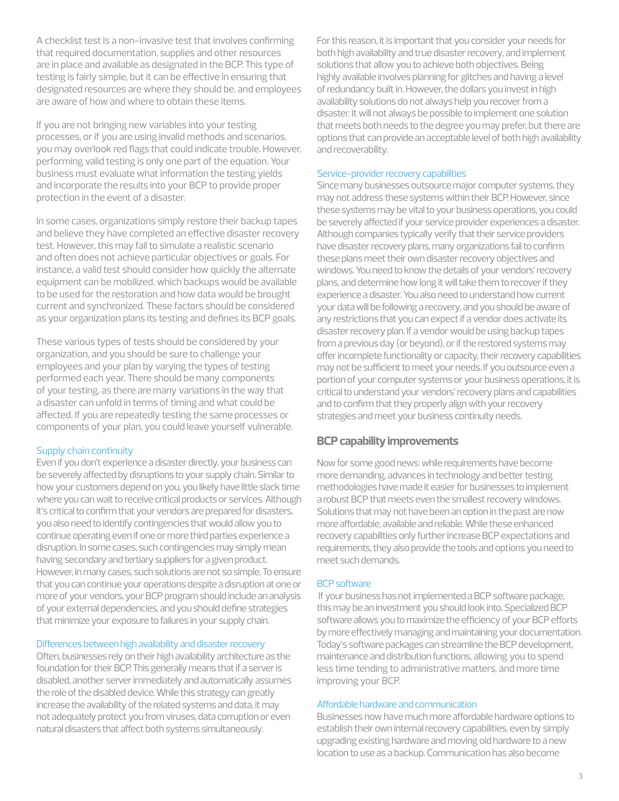A checklist test is a non-invasive test that involves confirming that required documentation, supplies and other resources are in place and available as designated in the BCP. This type of testing is fairly simple, but it can be effective in ensuring that designated resources are where they should be, and employees are aware of how and where to obtain these items.

If you are not bringing new variables into your testing processes, or if you are using invalid methods and scenarios, you may overlook red flags that could indicate trouble. However, performing valid testing is only one part of the equation. Your business must evaluate what information the testing yields and incorporate the results into your BCP to provide proper protection in the event of a disaster.

In some cases, organizations simply restore their backup tapes and believe they have completed an effective disaster recovery test. However, this may fail to simulate a realistic scenario and often does not achieve particular objectives or goals. For instance, a valid test should consider how quickly the alternate equipment can be mobilized, which backups would be available to be used for the restoration and how data would be brought current and synchronized. These factors should be considered as your organization plans its testing and defines its BCP goals.

These various types of tests should be considered by your organization, and you should be sure to challenge your employees and your plan by varying the types of testing performed each year. There should be many components of your testing, as there are many variations in the way that a disaster can unfold in terms of timing and what could be affected. If you are repeatedly testing the same processes or components of your plan, you could leave yourself vulnerable.

#### Supply chain continuity

Even if you don't experience a disaster directly, your business can be severely affected by disruptions to your supply chain. Similar to how your customers depend on you, you likely have little slack time where you can wait to receive critical products or services. Although it's critical to confirm that your vendors are prepared for disasters, you also need to identify contingencies that would allow you to continue operating even if one or more third parties experience a disruption. In some cases, such contingencies may simply mean having secondary and tertiary suppliers for a given product. However, in many cases, such solutions are not so simple. To ensure that you can continue your operations despite a disruption at one or more of your vendors, your BCP program should include an analysis of your external dependencies, and you should define strategies that minimize your exposure to failures in your supply chain.

#### Differences between high availability and disaster recovery

Often, businesses rely on their high availability architecture as the foundation for their BCP. This generally means that if a server is disabled, another server immediately and automatically assumes the role of the disabled device. While this strategy can greatly increase the availability of the related systems and data, it may not adequately protect you from viruses, data corruption or even natural disasters that affect both systems simultaneously.

For this reason, it is important that you consider your needs for both high availability and true disaster recovery, and implement solutions that allow you to achieve both objectives. Being highly available involves planning for glitches and having a level of redundancy built in. However, the dollars you invest in high availability solutions do not always help you recover from a disaster. It will not always be possible to implement one solution that meets both needs to the degree you may prefer, but there are options that can provide an acceptable level of both high availability and recoverability.

#### Service-provider recovery capabilities

Since many businesses outsource major computer systems, they may not address these systems within their BCP. However, since these systems may be vital to your business operations, you could be severely affected if your service provider experiences a disaster. Although companies typically verify that their service providers have disaster recovery plans, many organizations fail to confirm these plans meet their own disaster recovery objectives and windows. You need to know the details of your vendors' recovery plans, and determine how long it will take them to recover if they experience a disaster. You also need to understand how current your data will be following a recovery, and you should be aware of any restrictions that you can expect if a vendor does activate its disaster recovery plan. If a vendor would be using backup tapes from a previous day (or beyond), or if the restored systems may offer incomplete functionality or capacity, their recovery capabilities may not be sufficient to meet your needs. If you outsource even a portion of your computer systems or your business operations, it is critical to understand your vendors' recovery plans and capabilities and to confirm that they properly align with your recovery strategies and meet your business continuity needs.

## **BCP capability improvements**

Now for some good news: while requirements have become more demanding, advances in technology and better testing methodologies have made it easier for businesses to implement a robust BCP that meets even the smallest recovery windows. Solutions that may not have been an option in the past are now more affordable, available and reliable. While these enhanced recovery capabilities only further increase BCP expectations and requirements, they also provide the tools and options you need to meet such demands.

#### BCP software

 If your business has not implemented a BCP software package, this may be an investment you should look into. Specialized BCP software allows you to maximize the efficiency of your BCP efforts by more effectively managing and maintaining your documentation. Today's software packages can streamline the BCP development, maintenance and distribution functions, allowing you to spend less time tending to administrative matters, and more time improving your BCP.

#### Affordable hardware and communication

Businesses now have much more affordable hardware options to establish their own internal recovery capabilities, even by simply upgrading existing hardware and moving old hardware to a new location to use as a backup. Communication has also become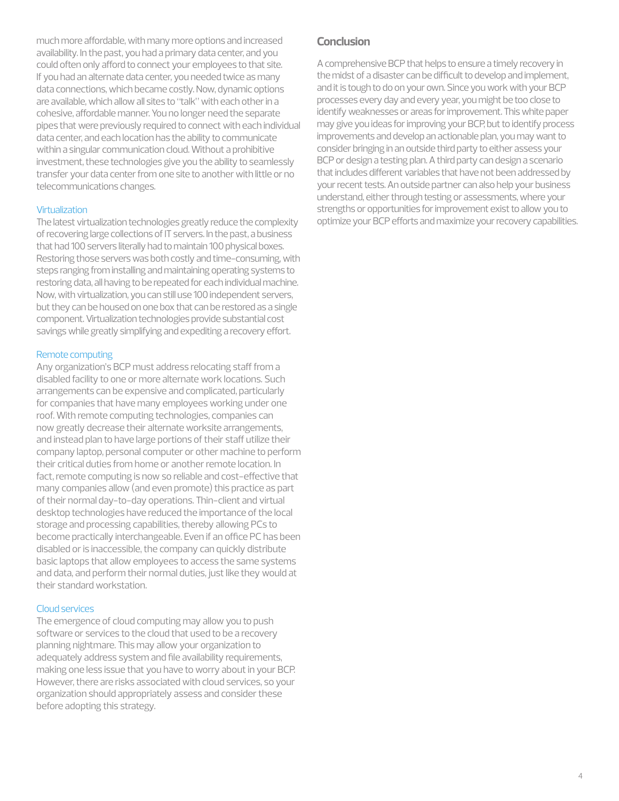much more affordable, with many more options and increased availability. In the past, you had a primary data center, and you could often only afford to connect your employees to that site. If you had an alternate data center, you needed twice as many data connections, which became costly. Now, dynamic options are available, which allow all sites to "talk" with each other in a cohesive, affordable manner. You no longer need the separate pipes that were previously required to connect with each individual data center, and each location has the ability to communicate within a singular communication cloud. Without a prohibitive investment, these technologies give you the ability to seamlessly transfer your data center from one site to another with little or no telecommunications changes.

#### **Virtualization**

The latest virtualization technologies greatly reduce the complexity of recovering large collections of IT servers. In the past, a business that had 100 servers literally had to maintain 100 physical boxes. Restoring those servers was both costly and time-consuming, with steps ranging from installing and maintaining operating systems to restoring data, all having to be repeated for each individual machine. Now, with virtualization, you can still use 100 independent servers, but they can be housed on one box that can be restored as a single component. Virtualization technologies provide substantial cost savings while greatly simplifying and expediting a recovery effort.

#### Remote computing

Any organization's BCP must address relocating staff from a disabled facility to one or more alternate work locations. Such arrangements can be expensive and complicated, particularly for companies that have many employees working under one roof. With remote computing technologies, companies can now greatly decrease their alternate worksite arrangements, and instead plan to have large portions of their staff utilize their company laptop, personal computer or other machine to perform their critical duties from home or another remote location. In fact, remote computing is now so reliable and cost-effective that many companies allow (and even promote) this practice as part of their normal day-to-day operations. Thin-client and virtual desktop technologies have reduced the importance of the local storage and processing capabilities, thereby allowing PCs to become practically interchangeable. Even if an office PC has been disabled or is inaccessible, the company can quickly distribute basic laptops that allow employees to access the same systems and data, and perform their normal duties, just like they would at their standard workstation.

#### Cloud services

The emergence of cloud computing may allow you to push software or services to the cloud that used to be a recovery planning nightmare. This may allow your organization to adequately address system and file availability requirements, making one less issue that you have to worry about in your BCP. However, there are risks associated with cloud services, so your organization should appropriately assess and consider these before adopting this strategy.

## **Conclusion**

A comprehensive BCP that helps to ensure a timely recovery in the midst of a disaster can be difficult to develop and implement, and it is tough to do on your own. Since you work with your BCP processes every day and every year, you might be too close to identify weaknesses or areas for improvement. This white paper may give you ideas for improving your BCP, but to identify process improvements and develop an actionable plan, you may want to consider bringing in an outside third party to either assess your BCP or design a testing plan. A third party can design a scenario that includes different variables that have not been addressed by your recent tests. An outside partner can also help your business understand, either through testing or assessments, where your strengths or opportunities for improvement exist to allow you to optimize your BCP efforts and maximize your recovery capabilities.